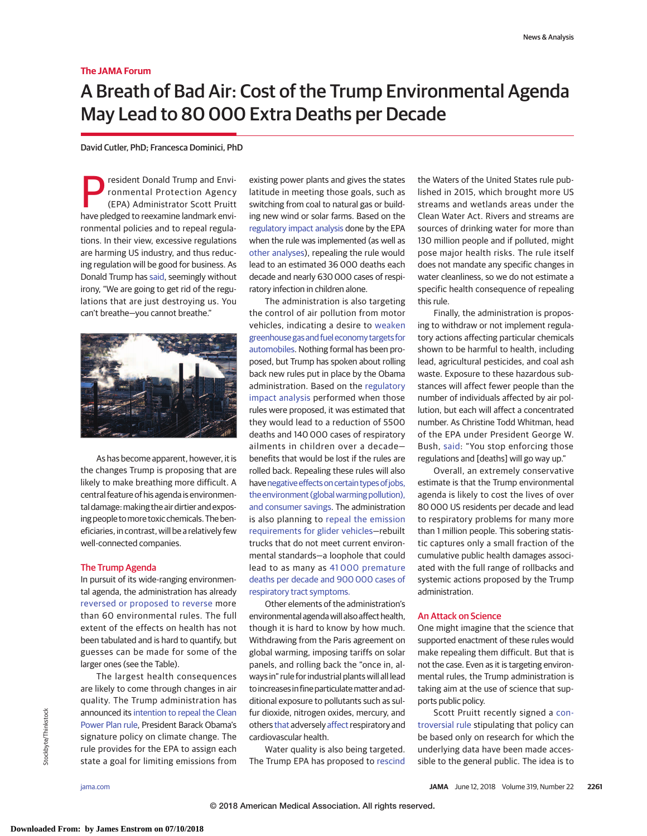#### **The JAMA Forum**

# A Breath of Bad Air: Cost of the Trump Environmental Agenda May Lead to 80 000 Extra Deaths per Decade

David Cutler, PhD; Francesca Dominici, PhD

resident Donald Trump and Environmental Protection Agency (EPA) Administrator Scott Pruitt have pledged to reexamine landmark environmental policies and to repeal regulations. In their view, excessive regulations are harming US industry, and thus reducing regulation will be good for business. As Donald Trump has [said,](https://www.wsj.com/articles/roll-back-of-federal-regulations-isnt-easy-1457482577) seemingly without irony, "We are going to get rid of the regulations that are just destroying us. You can't breathe—you cannot breathe."



As has become apparent, however, it is the changes Trump is proposing that are likely to make breathing more difficult. A central feature of his agenda is environmental damage: making the air dirtier and exposing people tomore toxic chemicals. The beneficiaries, in contrast, will be a relatively few well-connected companies.

### The Trump Agenda

In pursuit of its wide-ranging environmental agenda, the administration has already [reversed or proposed to reverse](http://environment.law.harvard.edu/POLICY-INITIATIVE/REGULATORY-ROLLBACK-TRACKER/) more than 60 environmental rules. The full extent of the effects on health has not been tabulated and is hard to quantify, but guesses can be made for some of the larger ones (see the Table).

The largest health consequences are likely to come through changes in air quality. The Trump administration has announced its [intention to repeal the Clean](https://www.washingtonpost.com/news/energy-environment/wp/2017/10/09/pruitt-tells-coal-miners-he-will-repeal-power-plan-rule-tuesday-the-war-on-coal-is-over/?utm_term=.62389e7dd0ff) [Power Plan rule,](https://www.washingtonpost.com/news/energy-environment/wp/2017/10/09/pruitt-tells-coal-miners-he-will-repeal-power-plan-rule-tuesday-the-war-on-coal-is-over/?utm_term=.62389e7dd0ff) President Barack Obama's signature policy on climate change. The rule provides for the EPA to assign each state a goal for limiting emissions from existing power plants and gives the states latitude in meeting those goals, such as switching from coal to natural gas or building new wind or solar farms. Based on the [regulatory impact analysis](chrome-extension://oemmndcbldboiebfnladdacbdfmadadm/https:/www3.epa.gov/ttnecas1/docs/ria/utilities_ria_final-clean-power-plan-existing-units_2015-08.pdf) done by the EPA when the rule was implemented (as well as [other](https://jamanetwork.com/journals/jama/article-abstract/2667069/?utm_campaign=articlePDF%26utm_medium=articlePDFlink%26utm_source=articlePDF%26utm_content=jama.2018.7351) [analyses\)](http://www.nejm.org/doi/full/10.1056/NEJMoa1702747), repealing the rule would lead to an estimated 36 000 deaths each decade and nearly 630 000 cases of respiratory infection in children alone.

The administration is also targeting the control of air pollution from motor vehicles, indicating a desire to [weaken](https://www.nytimes.com/2018/03/29/climate/epa-cafe-auto-pollution-rollback.html) [greenhouse gasand fueleconomy targets for](https://www.nytimes.com/2018/03/29/climate/epa-cafe-auto-pollution-rollback.html) [automobiles.](https://www.nytimes.com/2018/03/29/climate/epa-cafe-auto-pollution-rollback.html) Nothing formal has been proposed, but Trump has spoken about rolling back new rules put in place by the Obama administration. Based on the [regulatory](https://www.nhtsa.gov/sites/nhtsa.dot.gov/files/appendixe-air_quality_modeling-health_impacts_assessment.pdf) [impact analysis](https://www.nhtsa.gov/sites/nhtsa.dot.gov/files/appendixe-air_quality_modeling-health_impacts_assessment.pdf) performed when those rules were proposed, it was estimated that they would lead to a reduction of 5500 deaths and 140 000 cases of respiratory ailments in children over a decade benefits that would be lost if the rules are rolled back. Repealing these rules will also have negative effects on certain types of jobs, the environment (global warming pollution), [and consumer savings.](https://www.ucsusa.org/clean-vehicles/fuel-efficiency/fuel-economy-basics.html#.WuYJVY6LG1u) The administration is also planning to [repeal the emission](https://www.epa.gov/regulations-emissions-vehicles-and-engines/proposed-rule-repeal-emission-requirements-glider) [requirements for glider vehicles—](https://www.epa.gov/regulations-emissions-vehicles-and-engines/proposed-rule-repeal-emission-requirements-glider)rebuilt trucks that do not meet current environmental standards—a loophole that could lead to as many as [41 000 premature](https://www.edf.org/sites/default/files/content/EDF%20ELPC%20WE%20ACT%20Comments%20on%20Gliders%20Proposed%20Repeal%20final.pdf) [deaths per decade and 900 000 cases of](https://www.edf.org/sites/default/files/content/EDF%20ELPC%20WE%20ACT%20Comments%20on%20Gliders%20Proposed%20Repeal%20final.pdf) [respiratory tract symptoms.](https://www.edf.org/sites/default/files/content/EDF%20ELPC%20WE%20ACT%20Comments%20on%20Gliders%20Proposed%20Repeal%20final.pdf)

Other elements of the administration's environmental agendawill also affect health, though it is hard to know by how much. Withdrawing from the Paris agreement on global warming, imposing tariffs on solar panels, and rolling back the "once in, always in" rule for industrial plants will all lead to increases in fine particulate matter and additional exposure to pollutants such as sulfur dioxide, nitrogen oxides, mercury, and others [that](https://insights.ovid.com/pubmed?pmid=28768298) adversely [affect](https://www.statnews.com/2016/11/14/climate-change-agreements/) respiratory and cardiovascular health.

Water quality is also being targeted. The Trump EPA has proposed to [rescind](https://www.nytimes.com/2017/06/27/climate/epa-rescind-water-pollution-regulation.html)

the Waters of the United States rule published in 2015, which brought more US streams and wetlands areas under the Clean Water Act. Rivers and streams are sources of drinking water for more than 130 million people and if polluted, might pose major health risks. The rule itself does not mandate any specific changes in water cleanliness, so we do not estimate a specific health consequence of repealing this rule.

Finally, the administration is proposing to withdraw or not implement regulatory actions affecting particular chemicals shown to be harmful to health, including lead, agricultural pesticides, and coal ash waste. Exposure to these hazardous substances will affect fewer people than the number of individuals affected by air pollution, but each will affect a concentrated number. As Christine Todd Whitman, head of the EPA under President George W. Bush, [said:](https://www.vox.com/energy-and-environment/2018/1/29/16684952/epa-scott-pruitt-director-regulations) "You stop enforcing those regulations and [deaths] will go way up."

Overall, an extremely conservative estimate is that the Trump environmental agenda is likely to cost the lives of over 80 000 US residents per decade and lead to respiratory problems for many more than 1 million people. This sobering statistic captures only a small fraction of the cumulative public health damages associated with the full range of rollbacks and systemic actions proposed by the Trump administration.

### An Attack on Science

One might imagine that the science that supported enactment of these rules would make repealing them difficult. But that is not the case. Even as it is targeting environmental rules, the Trump administration is taking aim at the use of science that supports public policy.

Scott Pruitt recently signed a [con](https://www.newyorker.com/science/elements/scott-pruitts-crusade-against-secret-science-could-be-disastrous-for-public-health)[troversial rule](https://www.newyorker.com/science/elements/scott-pruitts-crusade-against-secret-science-could-be-disastrous-for-public-health) stipulating that policy can be based only on research for which the underlying data have been made accessible to the general public. The idea is to